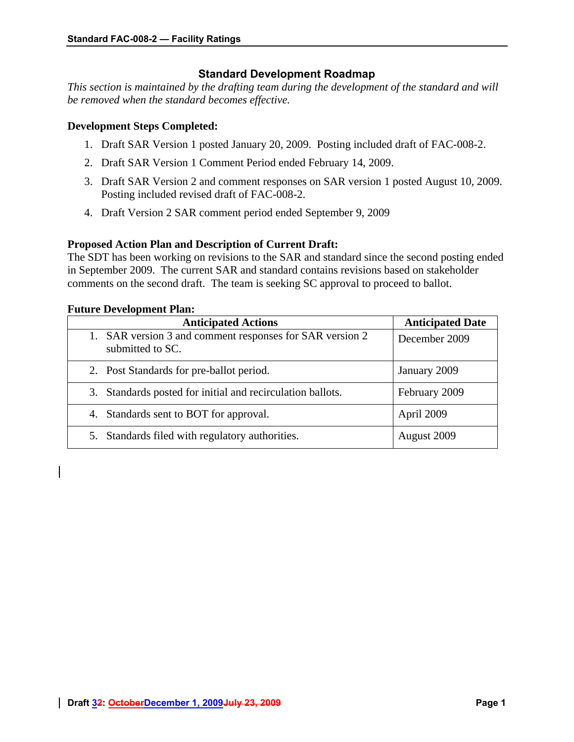# **Standard Development Roadmap**

*This section is maintained by the drafting team during the development of the standard and will be removed when the standard becomes effective.* 

## **Development Steps Completed:**

- 1. Draft SAR Version 1 posted January 20, 2009. Posting included draft of FAC-008-2.
- 2. Draft SAR Version 1 Comment Period ended February 14, 2009.
- 3. Draft SAR Version 2 and comment responses on SAR version 1 posted August 10, 2009. Posting included revised draft of FAC-008-2.
- 4. Draft Version 2 SAR comment period ended September 9, 2009

# **Proposed Action Plan and Description of Current Draft:**

The SDT has been working on revisions to the SAR and standard since the second posting ended in September 2009. The current SAR and standard contains revisions based on stakeholder comments on the second draft. The team is seeking SC approval to proceed to ballot.

# **Future Development Plan:**

| <b>Anticipated Actions</b>                                                   | <b>Anticipated Date</b> |
|------------------------------------------------------------------------------|-------------------------|
| 1. SAR version 3 and comment responses for SAR version 2<br>submitted to SC. | December 2009           |
| 2. Post Standards for pre-ballot period.                                     | January 2009            |
| 3. Standards posted for initial and recirculation ballots.                   | February 2009           |
| 4. Standards sent to BOT for approval.                                       | April 2009              |
| Standards filed with regulatory authorities.<br>5.                           | August 2009             |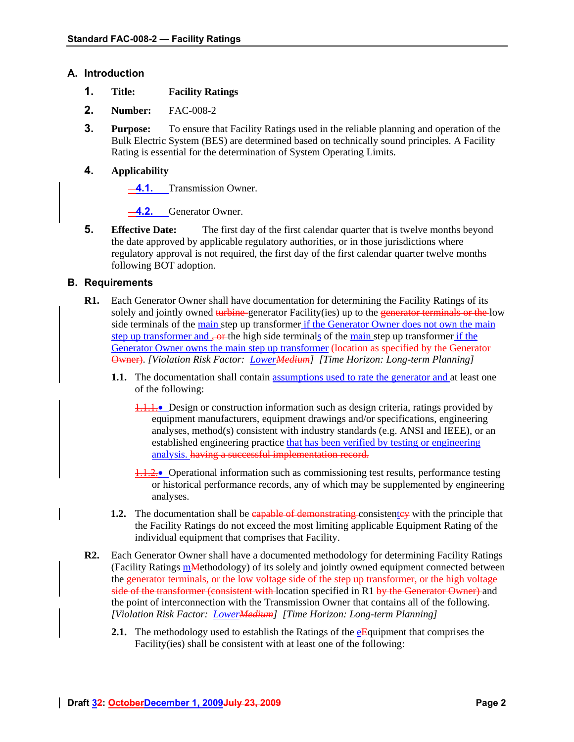### **A. Introduction**

- **1. Title: Facility Ratings**
- **2. Number:** FAC-008-2
- **3. Purpose:** To ensure that Facility Ratings used in the reliable planning and operation of the Bulk Electric System (BES) are determined based on technically sound principles. A Facility Rating is essential for the determination of System Operating Limits.

## **4. Applicability**

**4.1.** Transmission Owner.

**4.2.** Generator Owner.

**5. Effective Date:** The first day of the first calendar quarter that is twelve months beyond the date approved by applicable regulatory authorities, or in those jurisdictions where regulatory approval is not required, the first day of the first calendar quarter twelve months following BOT adoption.

## **B. Requirements**

- **R1.** Each Generator Owner shall have documentation for determining the Facility Ratings of its solely and jointly owned turbine-generator Facility(ies) up to the generator terminals or the low side terminals of the main step up transformer if the Generator Owner does not own the main step up transformer and  $\frac{1}{2}$  or the high side terminals of the main step up transformer if the Generator Owner owns the main step up transformer (location as specified by the Generator Owner). *[Violation Risk Factor: LowerMedium] [Time Horizon: Long-term Planning]* 
	- **1.1.** The documentation shall contain assumptions used to rate the generator and at least one of the following:
		- **1.1.1.** Design or construction information such as design criteria, ratings provided by equipment manufacturers, equipment drawings and/or specifications, engineering analyses, method(s) consistent with industry standards (e.g. ANSI and IEEE), or an established engineering practice that has been verified by testing or engineering analysis. having a successful implementation record.
		- $\frac{1}{2}$ . Operational information such as commissioning test results, performance testing or historical performance records, any of which may be supplemented by engineering analyses.
	- **1.2.** The documentation shall be eapable of demonstrating consistentey with the principle that the Facility Ratings do not exceed the most limiting applicable Equipment Rating of the individual equipment that comprises that Facility.
- **R2.** Each Generator Owner shall have a documented methodology for determining Facility Ratings (Facility Ratings  $m$ Methodology) of its solely and jointly owned equipment connected between the generator terminals, or the low voltage side of the step up transformer, or the high voltage side of the transformer (consistent with location specified in R1 by the Generator Owner) and the point of interconnection with the Transmission Owner that contains all of the following. *[Violation Risk Factor: LowerMedium] [Time Horizon: Long-term Planning]* 
	- **2.1.** The methodology used to establish the Ratings of the  $e^E$  quipment that comprises the Facility(ies) shall be consistent with at least one of the following: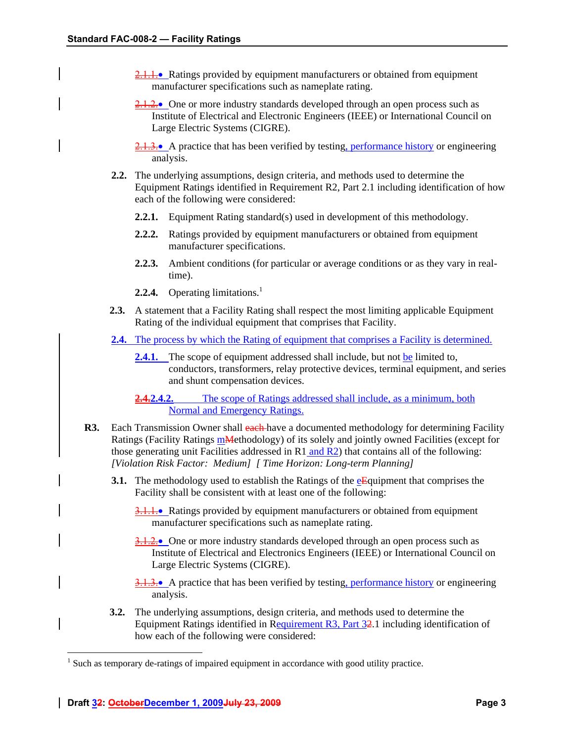- 2.1.1. Ratings provided by equipment manufacturers or obtained from equipment manufacturer specifications such as nameplate rating.
- $\frac{2.1.2.0}{2.1.2.0}$  One or more industry standards developed through an open process such as Institute of Electrical and Electronic Engineers (IEEE) or International Council on Large Electric Systems (CIGRE).
- $2,1,3$ . A practice that has been verified by testing, performance history or engineering analysis.
- **2.2.** The underlying assumptions, design criteria, and methods used to determine the Equipment Ratings identified in Requirement R2, Part 2.1 including identification of how each of the following were considered:
	- **2.2.1.** Equipment Rating standard(s) used in development of this methodology.
	- **2.2.2.** Ratings provided by equipment manufacturers or obtained from equipment manufacturer specifications.
	- **2.2.3.** Ambient conditions (for particular or average conditions or as they vary in realtime).
	- **2.2.4.** Operating limitations.<sup>1</sup>
- **2.3.** A statement that a Facility Rating shall respect the most limiting applicable Equipment Rating of the individual equipment that comprises that Facility.
- **2.4.** The process by which the Rating of equipment that comprises a Facility is determined.
	- 2.4.1. The scope of equipment addressed shall include, but not be limited to, conductors, transformers, relay protective devices, terminal equipment, and series and shunt compensation devices.
	- **2.4.2.4.2.** The scope of Ratings addressed shall include, as a minimum, both Normal and Emergency Ratings.
- **R3.** Each Transmission Owner shall each have a documented methodology for determining Facility Ratings (Facility Ratings mMethodology) of its solely and jointly owned Facilities (except for those generating unit Facilities addressed in  $R1$  and  $R2$ ) that contains all of the following: *[Violation Risk Factor: Medium] [ Time Horizon: Long-term Planning]* 
	- **3.1.** The methodology used to establish the Ratings of the eEquipment that comprises the Facility shall be consistent with at least one of the following:
		- 3.1.1. Ratings provided by equipment manufacturers or obtained from equipment manufacturer specifications such as nameplate rating.
		- 3.1.2. One or more industry standards developed through an open process such as Institute of Electrical and Electronics Engineers (IEEE) or International Council on Large Electric Systems (CIGRE).
		- 3.1.3.• A practice that has been verified by testing, performance history or engineering analysis.
	- **3.2.** The underlying assumptions, design criteria, and methods used to determine the Equipment Ratings identified in Requirement R3, Part 32.1 including identification of how each of the following were considered:

 $\overline{a}$ 

 $<sup>1</sup>$  Such as temporary de-ratings of impaired equipment in accordance with good utility practice.</sup>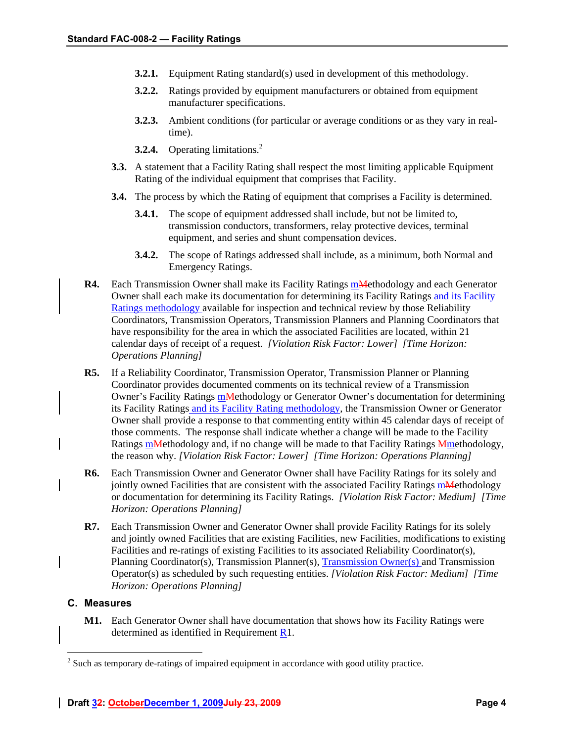- **3.2.1.** Equipment Rating standard(s) used in development of this methodology.
- **3.2.2.** Ratings provided by equipment manufacturers or obtained from equipment manufacturer specifications.
- **3.2.3.** Ambient conditions (for particular or average conditions or as they vary in realtime).
- **3.2.4.** Operating limitations.<sup>2</sup>
- **3.3.** A statement that a Facility Rating shall respect the most limiting applicable Equipment Rating of the individual equipment that comprises that Facility.
- **3.4.** The process by which the Rating of equipment that comprises a Facility is determined.
	- **3.4.1.** The scope of equipment addressed shall include, but not be limited to, transmission conductors, transformers, relay protective devices, terminal equipment, and series and shunt compensation devices.
	- **3.4.2.** The scope of Ratings addressed shall include, as a minimum, both Normal and Emergency Ratings.
- **R4.** Each Transmission Owner shall make its Facility Ratings manufactured and each Generator Owner shall each make its documentation for determining its Facility Ratings and its Facility Ratings methodology available for inspection and technical review by those Reliability Coordinators, Transmission Operators, Transmission Planners and Planning Coordinators that have responsibility for the area in which the associated Facilities are located, within 21 calendar days of receipt of a request. *[Violation Risk Factor: Lower] [Time Horizon: Operations Planning]*
- **R5.** If a Reliability Coordinator, Transmission Operator, Transmission Planner or Planning Coordinator provides documented comments on its technical review of a Transmission Owner's Facility Ratings mMethodology or Generator Owner's documentation for determining its Facility Ratings and its Facility Rating methodology, the Transmission Owner or Generator Owner shall provide a response to that commenting entity within 45 calendar days of receipt of those comments. The response shall indicate whether a change will be made to the Facility Ratings mMethodology and, if no change will be made to that Facility Ratings Mmethodology, the reason why. *[Violation Risk Factor: Lower] [Time Horizon: Operations Planning]*
- **R6.** Each Transmission Owner and Generator Owner shall have Facility Ratings for its solely and jointly owned Facilities that are consistent with the associated Facility Ratings manufectured results. or documentation for determining its Facility Ratings. *[Violation Risk Factor: Medium] [Time Horizon: Operations Planning]*
- **R7.** Each Transmission Owner and Generator Owner shall provide Facility Ratings for its solely and jointly owned Facilities that are existing Facilities, new Facilities, modifications to existing Facilities and re-ratings of existing Facilities to its associated Reliability Coordinator(s), Planning Coordinator(s), Transmission Planner(s), Transmission Owner(s) and Transmission Operator(s) as scheduled by such requesting entities. *[Violation Risk Factor: Medium] [Time Horizon: Operations Planning]*

#### **C. Measures**

 $\overline{a}$ 

**M1.** Each Generator Owner shall have documentation that shows how its Facility Ratings were determined as identified in Requirement R1.

 $2^{2}$  Such as temporary de-ratings of impaired equipment in accordance with good utility practice.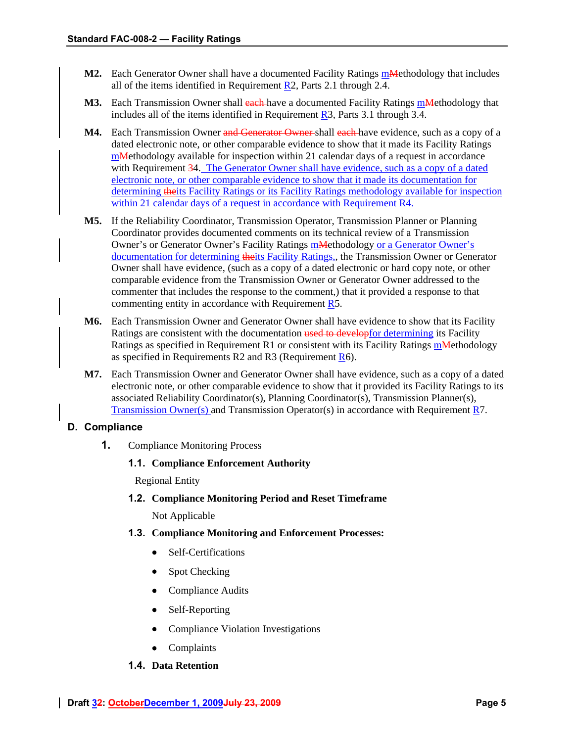- **M2.** Each Generator Owner shall have a documented Facility Ratings m**Methodology** that includes all of the items identified in Requirement R2, Parts 2.1 through 2.4.
- M3. Each Transmission Owner shall each have a documented Facility Ratings mMethodology that includes all of the items identified in Requirement R3, Parts 3.1 through 3.4.
- **M4.** Each Transmission Owner and Generator Owner shall each have evidence, such as a copy of a dated electronic note, or other comparable evidence to show that it made its Facility Ratings mMethodology available for inspection within 21 calendar days of a request in accordance with Requirement 34. The Generator Owner shall have evidence, such as a copy of a dated electronic note, or other comparable evidence to show that it made its documentation for determining theits Facility Ratings or its Facility Ratings methodology available for inspection within 21 calendar days of a request in accordance with Requirement R4.
- **M5.** If the Reliability Coordinator, Transmission Operator, Transmission Planner or Planning Coordinator provides documented comments on its technical review of a Transmission Owner's or Generator Owner's Facility Ratings mMethodology or a Generator Owner's documentation for determining theits Facility Ratings,, the Transmission Owner or Generator Owner shall have evidence, (such as a copy of a dated electronic or hard copy note, or other comparable evidence from the Transmission Owner or Generator Owner addressed to the commenter that includes the response to the comment,) that it provided a response to that commenting entity in accordance with Requirement R5.
- **M6.** Each Transmission Owner and Generator Owner shall have evidence to show that its Facility Ratings are consistent with the documentation used to develop for determining its Facility Ratings as specified in Requirement R1 or consistent with its Facility Ratings **mMethodology** as specified in Requirements R2 and R3 (Requirement R6).
- **M7.** Each Transmission Owner and Generator Owner shall have evidence, such as a copy of a dated electronic note, or other comparable evidence to show that it provided its Facility Ratings to its associated Reliability Coordinator(s), Planning Coordinator(s), Transmission Planner(s), Transmission Owner(s) and Transmission Operator(s) in accordance with Requirement R7.

## **D. Compliance**

**1.** Compliance Monitoring Process

## **1.1. Compliance Enforcement Authority**

Regional Entity

**1.2. Compliance Monitoring Period and Reset Timeframe**

Not Applicable

- **1.3. Compliance Monitoring and Enforcement Processes:** 
	- Self-Certifications
	- Spot Checking
	- Compliance Audits
	- Self-Reporting
	- Compliance Violation Investigations
	- Complaints

## **1.4. Data Retention**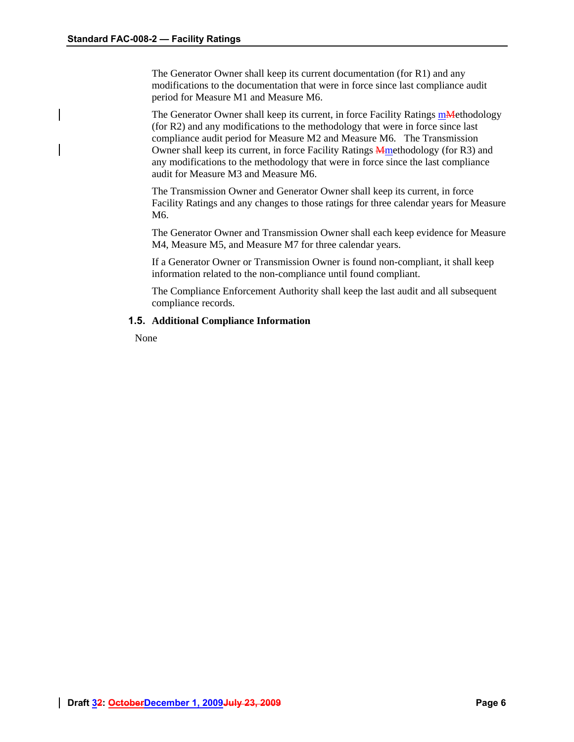The Generator Owner shall keep its current documentation (for R1) and any modifications to the documentation that were in force since last compliance audit period for Measure M1 and Measure M6.

The Generator Owner shall keep its current, in force Facility Ratings mMethodology (for R2) and any modifications to the methodology that were in force since last compliance audit period for Measure M2 and Measure M6. The Transmission Owner shall keep its current, in force Facility Ratings Mmethodology (for R3) and any modifications to the methodology that were in force since the last compliance audit for Measure M3 and Measure M6.

The Transmission Owner and Generator Owner shall keep its current, in force Facility Ratings and any changes to those ratings for three calendar years for Measure M6.

The Generator Owner and Transmission Owner shall each keep evidence for Measure M4, Measure M5, and Measure M7 for three calendar years.

If a Generator Owner or Transmission Owner is found non-compliant, it shall keep information related to the non-compliance until found compliant.

The Compliance Enforcement Authority shall keep the last audit and all subsequent compliance records.

#### **1.5. Additional Compliance Information**

None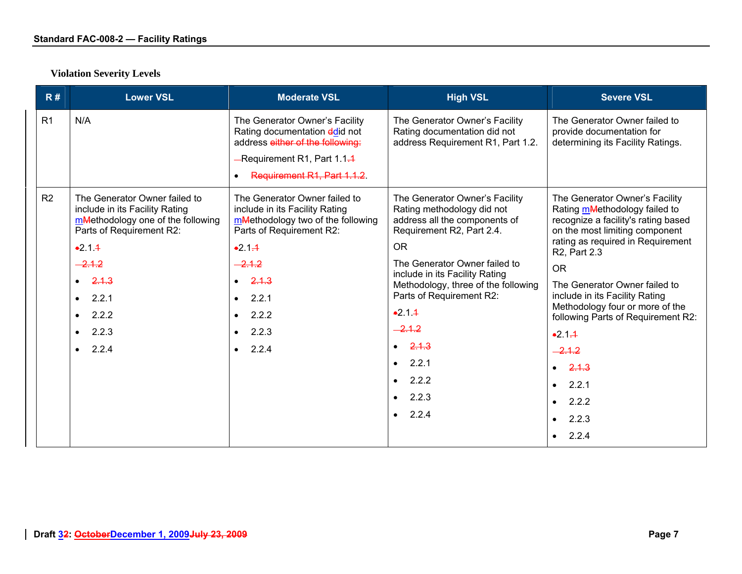| R#             | <b>Lower VSL</b>                                                                                                                             | <b>Moderate VSL</b>                                                                                                                                               | <b>High VSL</b>                                                                                                                         | <b>Severe VSL</b>                                                                                                                                                                                          |
|----------------|----------------------------------------------------------------------------------------------------------------------------------------------|-------------------------------------------------------------------------------------------------------------------------------------------------------------------|-----------------------------------------------------------------------------------------------------------------------------------------|------------------------------------------------------------------------------------------------------------------------------------------------------------------------------------------------------------|
| R1             | N/A                                                                                                                                          | The Generator Owner's Facility<br>Rating documentation ddid not<br>address either of the following:<br>-Requirement R1, Part 1.1.4<br>Requirement R1, Part 1.1.2. | The Generator Owner's Facility<br>Rating documentation did not<br>address Requirement R1, Part 1.2.                                     | The Generator Owner failed to<br>provide documentation for<br>determining its Facility Ratings.                                                                                                            |
| R <sub>2</sub> | The Generator Owner failed to<br>include in its Facility Rating<br>mMethodology one of the following<br>Parts of Requirement R2:<br>$-2.1.4$ | The Generator Owner failed to<br>include in its Facility Rating<br>mMethodology two of the following<br>Parts of Requirement R2:<br>$-2.1 - 1$                    | The Generator Owner's Facility<br>Rating methodology did not<br>address all the components of<br>Requirement R2, Part 2.4.<br><b>OR</b> | The Generator Owner's Facility<br>Rating mMethodology failed to<br>recognize a facility's rating based<br>on the most limiting component<br>rating as required in Requirement<br>R <sub>2</sub> , Part 2.3 |
|                | $-2.1.2$                                                                                                                                     | $-2.1.2$                                                                                                                                                          | The Generator Owner failed to                                                                                                           | <b>OR</b>                                                                                                                                                                                                  |
|                | $\bullet$ 2.1.3<br>2.2.1<br>$\bullet$<br>2.2.2<br>$\bullet$                                                                                  | 2.1.3<br>$\bullet$<br>2.2.1<br>$\bullet$<br>2.2.2<br>$\bullet$                                                                                                    | include in its Facility Rating<br>Methodology, three of the following<br>Parts of Requirement R2:<br>$-2.1.4$                           | The Generator Owner failed to<br>include in its Facility Rating<br>Methodology four or more of the<br>following Parts of Requirement R2:                                                                   |
|                | 2.2.3<br>$\bullet$                                                                                                                           | 2.2.3<br>$\bullet$                                                                                                                                                | $-2.1.2$                                                                                                                                | $-2.1 - 1$                                                                                                                                                                                                 |
|                | 2.2.4<br>$\bullet$                                                                                                                           | 2.2.4<br>$\bullet$                                                                                                                                                | 2.1.3<br>$\bullet$                                                                                                                      | $-2.1.2$                                                                                                                                                                                                   |
|                |                                                                                                                                              |                                                                                                                                                                   | 2.2.1<br>$\bullet$                                                                                                                      | $\bullet$ 2.1.3                                                                                                                                                                                            |
|                |                                                                                                                                              |                                                                                                                                                                   | 2.2.2<br>$\bullet$                                                                                                                      | 2.2.1<br>$\bullet$                                                                                                                                                                                         |
|                |                                                                                                                                              |                                                                                                                                                                   | 2.2.3<br>$\bullet$                                                                                                                      | 2.2.2<br>$\bullet$                                                                                                                                                                                         |
|                |                                                                                                                                              |                                                                                                                                                                   | 2.2.4                                                                                                                                   | 2.2.3<br>$\bullet$                                                                                                                                                                                         |
|                |                                                                                                                                              |                                                                                                                                                                   |                                                                                                                                         | $\bullet$ 2.2.4                                                                                                                                                                                            |

# **Violation Severity Levels**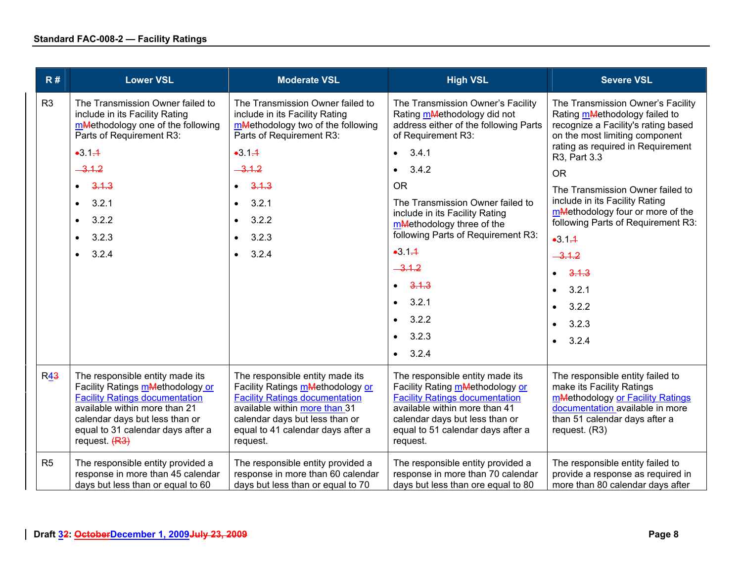| R#             | <b>Lower VSL</b>                                                                                                                                                                                                                                  | <b>Moderate VSL</b>                                                                                                                                                                                                                               | <b>High VSL</b>                                                                                                                                                                                                                                                                                                                                                                                                                                                           | <b>Severe VSL</b>                                                                                                                                                                                                                                                                                                                                                                                                                                                                                     |
|----------------|---------------------------------------------------------------------------------------------------------------------------------------------------------------------------------------------------------------------------------------------------|---------------------------------------------------------------------------------------------------------------------------------------------------------------------------------------------------------------------------------------------------|---------------------------------------------------------------------------------------------------------------------------------------------------------------------------------------------------------------------------------------------------------------------------------------------------------------------------------------------------------------------------------------------------------------------------------------------------------------------------|-------------------------------------------------------------------------------------------------------------------------------------------------------------------------------------------------------------------------------------------------------------------------------------------------------------------------------------------------------------------------------------------------------------------------------------------------------------------------------------------------------|
| R <sub>3</sub> | The Transmission Owner failed to<br>include in its Facility Rating<br>mMethodology one of the following<br>Parts of Requirement R3:<br>$-3.1 - 1$<br>$-3.1.2$<br>3.1.3<br>3.2.1<br>3.2.2<br>$\bullet$<br>3.2.3<br>$\bullet$<br>3.2.4<br>$\bullet$ | The Transmission Owner failed to<br>include in its Facility Rating<br>mMethodology two of the following<br>Parts of Requirement R3:<br>$-3.1 - 1$<br>$-3.1.2$<br>3.1.3<br>3.2.1<br>$\bullet$<br>3.2.2<br>$\bullet$<br>3.2.3<br>3.2.4<br>$\bullet$ | The Transmission Owner's Facility<br>Rating mMethodology did not<br>address either of the following Parts<br>of Requirement R3:<br>3.4.1<br>$\bullet$<br>3.4.2<br>$\bullet$<br><b>OR</b><br>The Transmission Owner failed to<br>include in its Facility Rating<br>mMethodology three of the<br>following Parts of Requirement R3:<br>$-3.1 - 1$<br>$-3.1.2$<br>3.1.3<br>$\bullet$<br>3.2.1<br>$\bullet$<br>3.2.2<br>$\bullet$<br>3.2.3<br>$\bullet$<br>3.2.4<br>$\bullet$ | The Transmission Owner's Facility<br>Rating mMethodology failed to<br>recognize a Facility's rating based<br>on the most limiting component<br>rating as required in Requirement<br>R3, Part 3.3<br><b>OR</b><br>The Transmission Owner failed to<br>include in its Facility Rating<br>mMethodology four or more of the<br>following Parts of Requirement R3:<br>$-3.1 - 4$<br>$-3.1.2$<br>3.1.3<br>$\bullet$<br>3.2.1<br>$\bullet$<br>3.2.2<br>$\bullet$<br>3.2.3<br>$\bullet$<br>3.2.4<br>$\bullet$ |
| <b>R43</b>     | The responsible entity made its<br>Facility Ratings mMethodology or<br><b>Facility Ratings documentation</b><br>available within more than 21<br>calendar days but less than or<br>equal to 31 calendar days after a<br>request. (R3)             | The responsible entity made its<br>Facility Ratings mMethodology or<br><b>Facility Ratings documentation</b><br>available within more than 31<br>calendar days but less than or<br>equal to 41 calendar days after a<br>request.                  | The responsible entity made its<br>Facility Rating mMethodology or<br><b>Facility Ratings documentation</b><br>available within more than 41<br>calendar days but less than or<br>equal to 51 calendar days after a<br>request.                                                                                                                                                                                                                                           | The responsible entity failed to<br>make its Facility Ratings<br>mMethodology or Facility Ratings<br>documentation available in more<br>than 51 calendar days after a<br>request. (R3)                                                                                                                                                                                                                                                                                                                |
| R <sub>5</sub> | The responsible entity provided a<br>response in more than 45 calendar<br>days but less than or equal to 60                                                                                                                                       | The responsible entity provided a<br>response in more than 60 calendar<br>days but less than or equal to 70                                                                                                                                       | The responsible entity provided a<br>response in more than 70 calendar<br>days but less than ore equal to 80                                                                                                                                                                                                                                                                                                                                                              | The responsible entity failed to<br>provide a response as required in<br>more than 80 calendar days after                                                                                                                                                                                                                                                                                                                                                                                             |